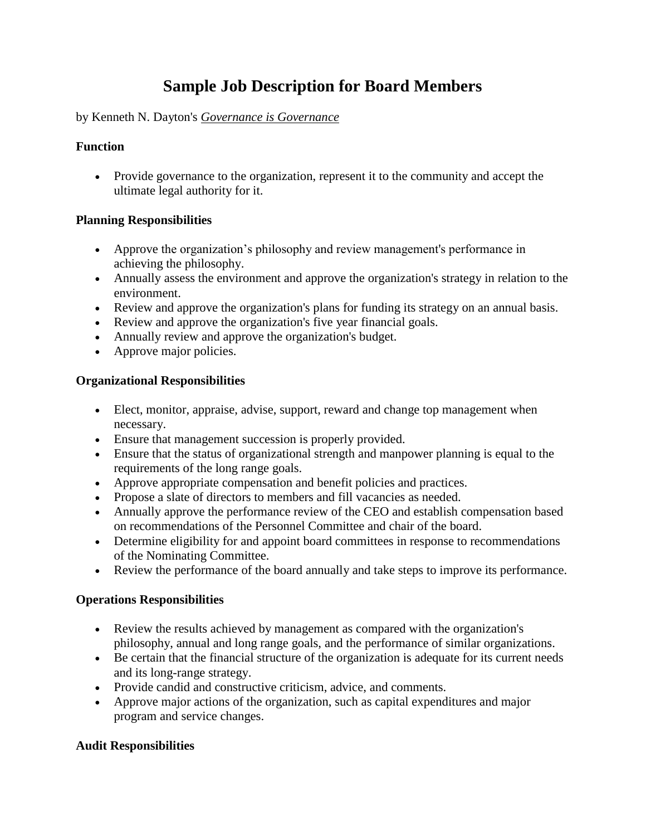# **Sample Job Description for Board Members**

#### by Kenneth N. Dayton's *Governance is Governance*

#### **Function**

 Provide governance to the organization, represent it to the community and accept the ultimate legal authority for it.

#### **Planning Responsibilities**

- Approve the organization's philosophy and review management's performance in achieving the philosophy.
- Annually assess the environment and approve the organization's strategy in relation to the environment.
- Review and approve the organization's plans for funding its strategy on an annual basis.
- Review and approve the organization's five year financial goals.
- Annually review and approve the organization's budget.
- Approve major policies.

### **Organizational Responsibilities**

- Elect, monitor, appraise, advise, support, reward and change top management when necessary.
- Ensure that management succession is properly provided.
- Ensure that the status of organizational strength and manpower planning is equal to the requirements of the long range goals.
- Approve appropriate compensation and benefit policies and practices.
- Propose a slate of directors to members and fill vacancies as needed.
- Annually approve the performance review of the CEO and establish compensation based on recommendations of the Personnel Committee and chair of the board.
- Determine eligibility for and appoint board committees in response to recommendations of the Nominating Committee.
- Review the performance of the board annually and take steps to improve its performance.

#### **Operations Responsibilities**

- Review the results achieved by management as compared with the organization's philosophy, annual and long range goals, and the performance of similar organizations.
- Be certain that the financial structure of the organization is adequate for its current needs and its long-range strategy.
- Provide candid and constructive criticism, advice, and comments.
- Approve major actions of the organization, such as capital expenditures and major program and service changes.

## **Audit Responsibilities**